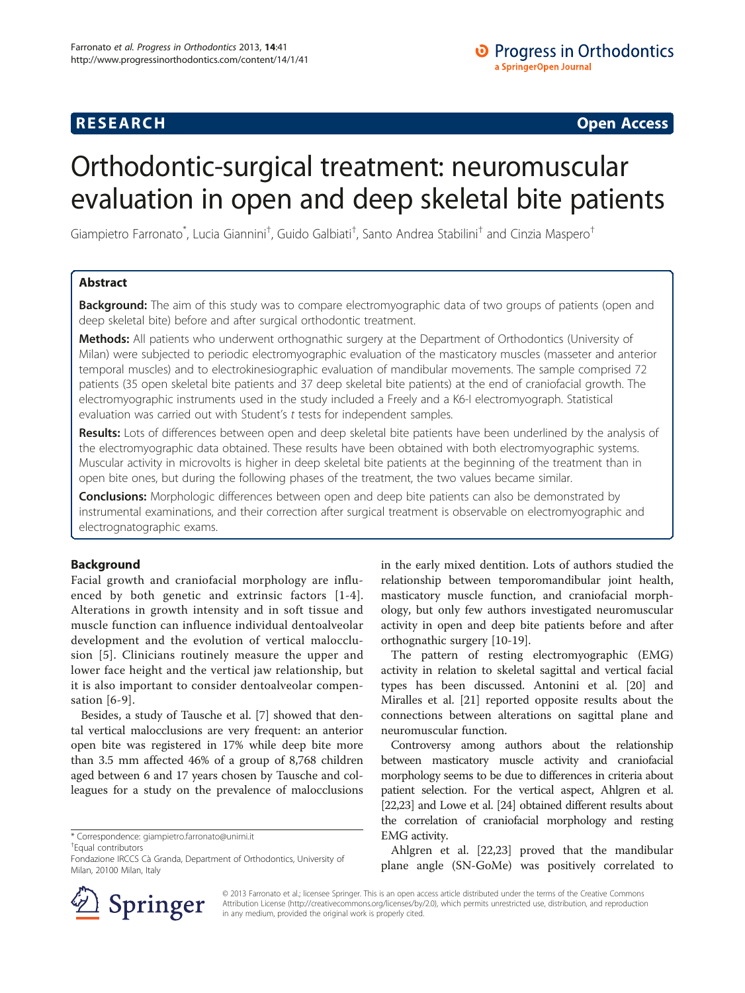# **RESEARCH CHINESE ARCH CHINESE ARCH CHINESE ARCH <b>CHINESE ARCH**

# Orthodontic-surgical treatment: neuromuscular evaluation in open and deep skeletal bite patients

Giampietro Farronato<sup>\*</sup>, Lucia Giannini<sup>†</sup>, Guido Galbiati<sup>†</sup>, Santo Andrea Stabilini<sup>†</sup> and Cinzia Maspero<sup>†</sup>

# Abstract

Background: The aim of this study was to compare electromyographic data of two groups of patients (open and deep skeletal bite) before and after surgical orthodontic treatment.

Methods: All patients who underwent orthognathic surgery at the Department of Orthodontics (University of Milan) were subjected to periodic electromyographic evaluation of the masticatory muscles (masseter and anterior temporal muscles) and to electrokinesiographic evaluation of mandibular movements. The sample comprised 72 patients (35 open skeletal bite patients and 37 deep skeletal bite patients) at the end of craniofacial growth. The electromyographic instruments used in the study included a Freely and a K6-I electromyograph. Statistical evaluation was carried out with Student's t tests for independent samples.

Results: Lots of differences between open and deep skeletal bite patients have been underlined by the analysis of the electromyographic data obtained. These results have been obtained with both electromyographic systems. Muscular activity in microvolts is higher in deep skeletal bite patients at the beginning of the treatment than in open bite ones, but during the following phases of the treatment, the two values became similar.

**Conclusions:** Morphologic differences between open and deep bite patients can also be demonstrated by instrumental examinations, and their correction after surgical treatment is observable on electromyographic and electrognatographic exams.

# Background

Facial growth and craniofacial morphology are influenced by both genetic and extrinsic factors [[1](#page-5-0)-[4](#page-5-0)]. Alterations in growth intensity and in soft tissue and muscle function can influence individual dentoalveolar development and the evolution of vertical malocclusion [\[5](#page-5-0)]. Clinicians routinely measure the upper and lower face height and the vertical jaw relationship, but it is also important to consider dentoalveolar compensation [\[6-9](#page-5-0)].

Besides, a study of Tausche et al. [\[7](#page-5-0)] showed that dental vertical malocclusions are very frequent: an anterior open bite was registered in 17% while deep bite more than 3.5 mm affected 46% of a group of 8,768 children aged between 6 and 17 years chosen by Tausche and colleagues for a study on the prevalence of malocclusions

\* Correspondence: [giampietro.farronato@unimi.it](mailto:giampietro.farronato@unimi.it) †

Equal contributors

in the early mixed dentition. Lots of authors studied the relationship between temporomandibular joint health, masticatory muscle function, and craniofacial morphology, but only few authors investigated neuromuscular activity in open and deep bite patients before and after orthognathic surgery [\[10-19](#page-5-0)].

The pattern of resting electromyographic (EMG) activity in relation to skeletal sagittal and vertical facial types has been discussed. Antonini et al. [[20\]](#page-5-0) and Miralles et al. [[21\]](#page-5-0) reported opposite results about the connections between alterations on sagittal plane and neuromuscular function.

Controversy among authors about the relationship between masticatory muscle activity and craniofacial morphology seems to be due to differences in criteria about patient selection. For the vertical aspect, Ahlgren et al. [[22,23](#page-5-0)] and Lowe et al. [\[24\]](#page-6-0) obtained different results about the correlation of craniofacial morphology and resting EMG activity.

Ahlgren et al. [\[22,23](#page-5-0)] proved that the mandibular plane angle (SN-GoMe) was positively correlated to



© 2013 Farronato et al.; licensee Springer. This is an open access article distributed under the terms of the Creative Commons Attribution License [\(http://creativecommons.org/licenses/by/2.0\)](http://creativecommons.org/licenses/by/2.0), which permits unrestricted use, distribution, and reproduction in any medium, provided the original work is properly cited.

Fondazione IRCCS Cà Granda, Department of Orthodontics, University of Milan, 20100 Milan, Italy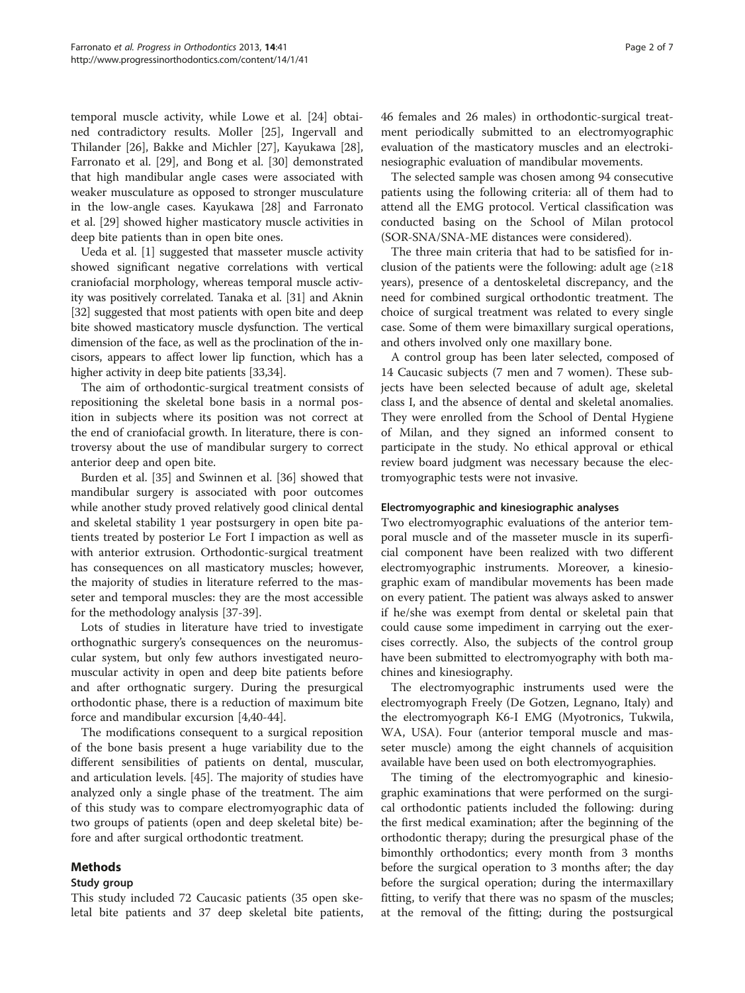temporal muscle activity, while Lowe et al. [[24\]](#page-6-0) obtained contradictory results. Moller [[25\]](#page-6-0), Ingervall and Thilander [[26](#page-6-0)], Bakke and Michler [\[27](#page-6-0)], Kayukawa [\[28](#page-6-0)], Farronato et al. [[29\]](#page-6-0), and Bong et al. [[30](#page-6-0)] demonstrated that high mandibular angle cases were associated with weaker musculature as opposed to stronger musculature in the low-angle cases. Kayukawa [[28\]](#page-6-0) and Farronato et al. [[29\]](#page-6-0) showed higher masticatory muscle activities in deep bite patients than in open bite ones.

Ueda et al. [\[1\]](#page-5-0) suggested that masseter muscle activity showed significant negative correlations with vertical craniofacial morphology, whereas temporal muscle activity was positively correlated. Tanaka et al. [[31](#page-6-0)] and Aknin [[32](#page-6-0)] suggested that most patients with open bite and deep bite showed masticatory muscle dysfunction. The vertical dimension of the face, as well as the proclination of the incisors, appears to affect lower lip function, which has a higher activity in deep bite patients [\[33,34](#page-6-0)].

The aim of orthodontic-surgical treatment consists of repositioning the skeletal bone basis in a normal position in subjects where its position was not correct at the end of craniofacial growth. In literature, there is controversy about the use of mandibular surgery to correct anterior deep and open bite.

Burden et al. [\[35](#page-6-0)] and Swinnen et al. [\[36\]](#page-6-0) showed that mandibular surgery is associated with poor outcomes while another study proved relatively good clinical dental and skeletal stability 1 year postsurgery in open bite patients treated by posterior Le Fort I impaction as well as with anterior extrusion. Orthodontic-surgical treatment has consequences on all masticatory muscles; however, the majority of studies in literature referred to the masseter and temporal muscles: they are the most accessible for the methodology analysis [[37-39\]](#page-6-0).

Lots of studies in literature have tried to investigate orthognathic surgery's consequences on the neuromuscular system, but only few authors investigated neuromuscular activity in open and deep bite patients before and after orthognatic surgery. During the presurgical orthodontic phase, there is a reduction of maximum bite force and mandibular excursion [\[4](#page-5-0)[,40](#page-6-0)-[44\]](#page-6-0).

The modifications consequent to a surgical reposition of the bone basis present a huge variability due to the different sensibilities of patients on dental, muscular, and articulation levels. [\[45](#page-6-0)]. The majority of studies have analyzed only a single phase of the treatment. The aim of this study was to compare electromyographic data of two groups of patients (open and deep skeletal bite) before and after surgical orthodontic treatment.

# Methods

#### Study group

This study included 72 Caucasic patients (35 open skeletal bite patients and 37 deep skeletal bite patients, 46 females and 26 males) in orthodontic-surgical treatment periodically submitted to an electromyographic evaluation of the masticatory muscles and an electrokinesiographic evaluation of mandibular movements.

The selected sample was chosen among 94 consecutive patients using the following criteria: all of them had to attend all the EMG protocol. Vertical classification was conducted basing on the School of Milan protocol (SOR-SNA/SNA-ME distances were considered).

The three main criteria that had to be satisfied for inclusion of the patients were the following: adult age  $(\geq 18)$ years), presence of a dentoskeletal discrepancy, and the need for combined surgical orthodontic treatment. The choice of surgical treatment was related to every single case. Some of them were bimaxillary surgical operations, and others involved only one maxillary bone.

A control group has been later selected, composed of 14 Caucasic subjects (7 men and 7 women). These subjects have been selected because of adult age, skeletal class I, and the absence of dental and skeletal anomalies. They were enrolled from the School of Dental Hygiene of Milan, and they signed an informed consent to participate in the study. No ethical approval or ethical review board judgment was necessary because the electromyographic tests were not invasive.

### Electromyographic and kinesiographic analyses

Two electromyographic evaluations of the anterior temporal muscle and of the masseter muscle in its superficial component have been realized with two different electromyographic instruments. Moreover, a kinesiographic exam of mandibular movements has been made on every patient. The patient was always asked to answer if he/she was exempt from dental or skeletal pain that could cause some impediment in carrying out the exercises correctly. Also, the subjects of the control group have been submitted to electromyography with both machines and kinesiography.

The electromyographic instruments used were the electromyograph Freely (De Gotzen, Legnano, Italy) and the electromyograph K6-I EMG (Myotronics, Tukwila, WA, USA). Four (anterior temporal muscle and masseter muscle) among the eight channels of acquisition available have been used on both electromyographies.

The timing of the electromyographic and kinesiographic examinations that were performed on the surgical orthodontic patients included the following: during the first medical examination; after the beginning of the orthodontic therapy; during the presurgical phase of the bimonthly orthodontics; every month from 3 months before the surgical operation to 3 months after; the day before the surgical operation; during the intermaxillary fitting, to verify that there was no spasm of the muscles; at the removal of the fitting; during the postsurgical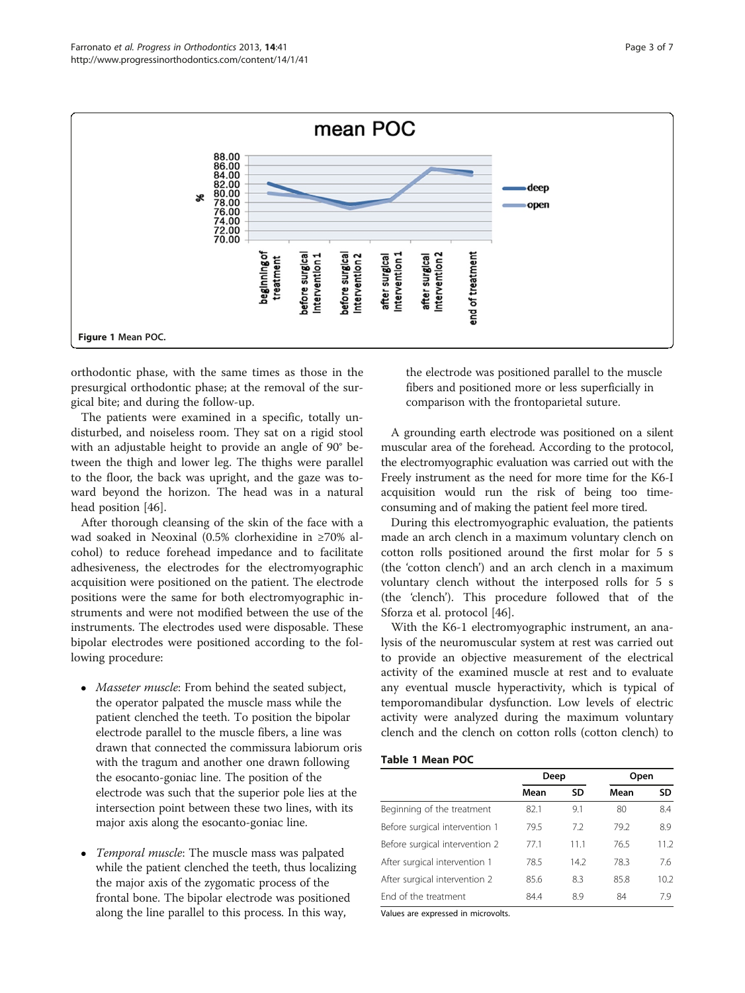<span id="page-2-0"></span>

orthodontic phase, with the same times as those in the presurgical orthodontic phase; at the removal of the surgical bite; and during the follow-up.

The patients were examined in a specific, totally undisturbed, and noiseless room. They sat on a rigid stool with an adjustable height to provide an angle of 90° between the thigh and lower leg. The thighs were parallel to the floor, the back was upright, and the gaze was toward beyond the horizon. The head was in a natural head position [[46\]](#page-6-0).

After thorough cleansing of the skin of the face with a wad soaked in Neoxinal (0.5% clorhexidine in ≥70% alcohol) to reduce forehead impedance and to facilitate adhesiveness, the electrodes for the electromyographic acquisition were positioned on the patient. The electrode positions were the same for both electromyographic instruments and were not modified between the use of the instruments. The electrodes used were disposable. These bipolar electrodes were positioned according to the following procedure:

- Masseter muscle: From behind the seated subject, the operator palpated the muscle mass while the patient clenched the teeth. To position the bipolar electrode parallel to the muscle fibers, a line was drawn that connected the commissura labiorum oris with the tragum and another one drawn following the esocanto-goniac line. The position of the electrode was such that the superior pole lies at the intersection point between these two lines, with its major axis along the esocanto-goniac line.
- Temporal muscle: The muscle mass was palpated while the patient clenched the teeth, thus localizing the major axis of the zygomatic process of the frontal bone. The bipolar electrode was positioned along the line parallel to this process. In this way,

the electrode was positioned parallel to the muscle fibers and positioned more or less superficially in comparison with the frontoparietal suture.

A grounding earth electrode was positioned on a silent muscular area of the forehead. According to the protocol, the electromyographic evaluation was carried out with the Freely instrument as the need for more time for the K6-I acquisition would run the risk of being too timeconsuming and of making the patient feel more tired.

During this electromyographic evaluation, the patients made an arch clench in a maximum voluntary clench on cotton rolls positioned around the first molar for 5 s (the 'cotton clench') and an arch clench in a maximum voluntary clench without the interposed rolls for 5 s (the 'clench'). This procedure followed that of the Sforza et al. protocol [\[46\]](#page-6-0).

With the K6-1 electromyographic instrument, an analysis of the neuromuscular system at rest was carried out to provide an objective measurement of the electrical activity of the examined muscle at rest and to evaluate any eventual muscle hyperactivity, which is typical of temporomandibular dysfunction. Low levels of electric activity were analyzed during the maximum voluntary clench and the clench on cotton rolls (cotton clench) to

## Table 1 Mean POC

|                                | Deep |      | Open |                   |
|--------------------------------|------|------|------|-------------------|
|                                | Mean | SD   | Mean | SD                |
| Beginning of the treatment     | 82.1 | 9.1  | 80   | 8.4               |
| Before surgical intervention 1 | 79.5 | 72   | 79.2 | 8.9               |
| Before surgical intervention 2 | 771  | 11.1 | 76.5 | 112               |
| After surgical intervention 1  | 78.5 | 14.2 | 78.3 | 7.6               |
| After surgical intervention 2  | 85.6 | 8.3  | 85.8 | 10.2 <sup>5</sup> |
| End of the treatment           | 84.4 | 8.9  | 84   | 79                |

Values are expressed in microvolts.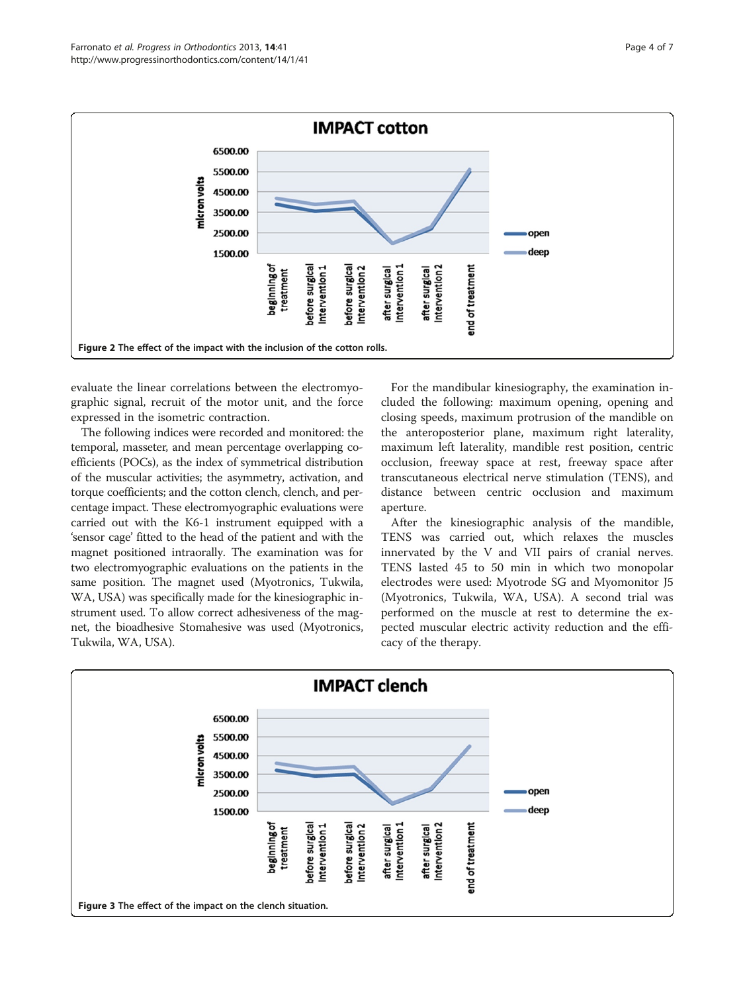<span id="page-3-0"></span>

evaluate the linear correlations between the electromyographic signal, recruit of the motor unit, and the force expressed in the isometric contraction.

The following indices were recorded and monitored: the temporal, masseter, and mean percentage overlapping coefficients (POCs), as the index of symmetrical distribution of the muscular activities; the asymmetry, activation, and torque coefficients; and the cotton clench, clench, and percentage impact. These electromyographic evaluations were carried out with the K6-1 instrument equipped with a 'sensor cage' fitted to the head of the patient and with the magnet positioned intraorally. The examination was for two electromyographic evaluations on the patients in the same position. The magnet used (Myotronics, Tukwila, WA, USA) was specifically made for the kinesiographic instrument used. To allow correct adhesiveness of the magnet, the bioadhesive Stomahesive was used (Myotronics, Tukwila, WA, USA).

For the mandibular kinesiography, the examination included the following: maximum opening, opening and closing speeds, maximum protrusion of the mandible on the anteroposterior plane, maximum right laterality, maximum left laterality, mandible rest position, centric occlusion, freeway space at rest, freeway space after transcutaneous electrical nerve stimulation (TENS), and distance between centric occlusion and maximum aperture.

After the kinesiographic analysis of the mandible, TENS was carried out, which relaxes the muscles innervated by the V and VII pairs of cranial nerves. TENS lasted 45 to 50 min in which two monopolar electrodes were used: Myotrode SG and Myomonitor J5 (Myotronics, Tukwila, WA, USA). A second trial was performed on the muscle at rest to determine the expected muscular electric activity reduction and the efficacy of the therapy.

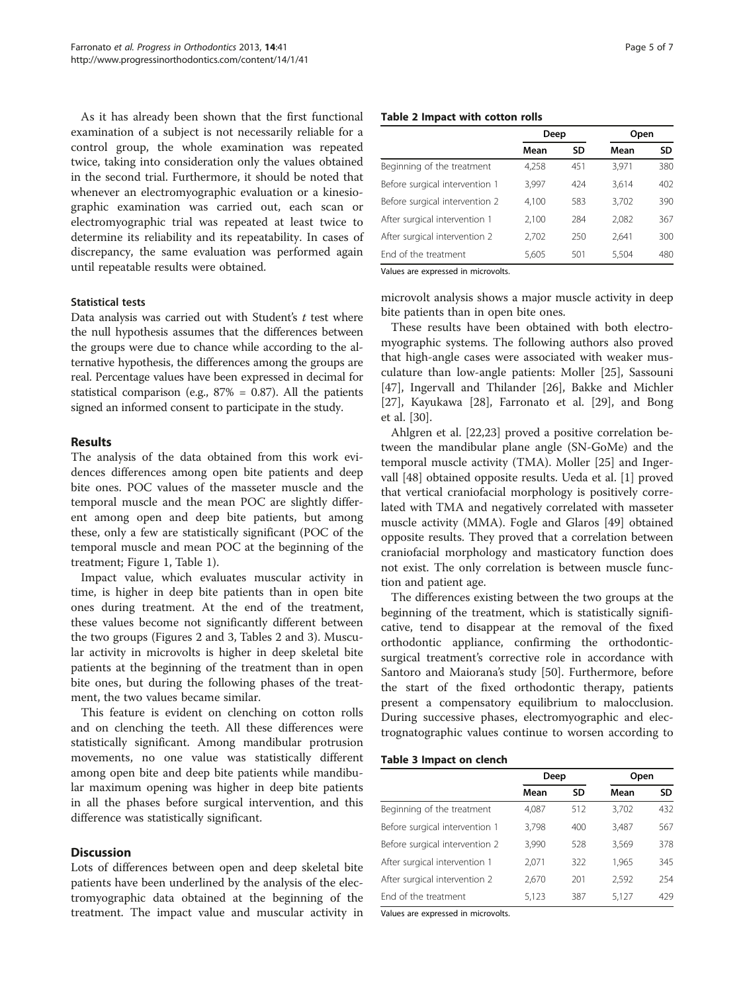As it has already been shown that the first functional examination of a subject is not necessarily reliable for a control group, the whole examination was repeated twice, taking into consideration only the values obtained in the second trial. Furthermore, it should be noted that whenever an electromyographic evaluation or a kinesiographic examination was carried out, each scan or electromyographic trial was repeated at least twice to determine its reliability and its repeatability. In cases of discrepancy, the same evaluation was performed again until repeatable results were obtained.

#### Statistical tests

Data analysis was carried out with Student's  $t$  test where the null hypothesis assumes that the differences between the groups were due to chance while according to the alternative hypothesis, the differences among the groups are real. Percentage values have been expressed in decimal for statistical comparison (e.g.,  $87\% = 0.87$ ). All the patients signed an informed consent to participate in the study.

#### Results

The analysis of the data obtained from this work evidences differences among open bite patients and deep bite ones. POC values of the masseter muscle and the temporal muscle and the mean POC are slightly different among open and deep bite patients, but among these, only a few are statistically significant (POC of the temporal muscle and mean POC at the beginning of the treatment; Figure [1](#page-2-0), Table [1\)](#page-2-0).

Impact value, which evaluates muscular activity in time, is higher in deep bite patients than in open bite ones during treatment. At the end of the treatment, these values become not significantly different between the two groups (Figures [2](#page-3-0) and [3](#page-3-0), Tables 2 and 3). Muscular activity in microvolts is higher in deep skeletal bite patients at the beginning of the treatment than in open bite ones, but during the following phases of the treatment, the two values became similar.

This feature is evident on clenching on cotton rolls and on clenching the teeth. All these differences were statistically significant. Among mandibular protrusion movements, no one value was statistically different among open bite and deep bite patients while mandibular maximum opening was higher in deep bite patients in all the phases before surgical intervention, and this difference was statistically significant.

#### **Discussion**

Lots of differences between open and deep skeletal bite patients have been underlined by the analysis of the electromyographic data obtained at the beginning of the treatment. The impact value and muscular activity in

#### Table 2 Impact with cotton rolls

|                                | Deep  |     | Open  |     |
|--------------------------------|-------|-----|-------|-----|
|                                | Mean  | SD  | Mean  | SD  |
| Beginning of the treatment     | 4,258 | 451 | 3.971 | 380 |
| Before surgical intervention 1 | 3.997 | 424 | 3.614 | 402 |
| Before surgical intervention 2 | 4.100 | 583 | 3.702 | 390 |
| After surgical intervention 1  | 2,100 | 284 | 2,082 | 367 |
| After surgical intervention 2  | 2,702 | 250 | 2.641 | 300 |
| End of the treatment           | 5,605 | 501 | 5.504 | 480 |

Values are expressed in microvolts.

microvolt analysis shows a major muscle activity in deep bite patients than in open bite ones.

These results have been obtained with both electromyographic systems. The following authors also proved that high-angle cases were associated with weaker musculature than low-angle patients: Moller [\[25](#page-6-0)], Sassouni [[47\]](#page-6-0), Ingervall and Thilander [[26\]](#page-6-0), Bakke and Michler [[27\]](#page-6-0), Kayukawa [[28\]](#page-6-0), Farronato et al. [\[29\]](#page-6-0), and Bong et al. [\[30](#page-6-0)].

Ahlgren et al. [[22,23](#page-5-0)] proved a positive correlation between the mandibular plane angle (SN-GoMe) and the temporal muscle activity (TMA). Moller [[25](#page-6-0)] and Ingervall [[48\]](#page-6-0) obtained opposite results. Ueda et al. [\[1](#page-5-0)] proved that vertical craniofacial morphology is positively correlated with TMA and negatively correlated with masseter muscle activity (MMA). Fogle and Glaros [\[49](#page-6-0)] obtained opposite results. They proved that a correlation between craniofacial morphology and masticatory function does not exist. The only correlation is between muscle function and patient age.

The differences existing between the two groups at the beginning of the treatment, which is statistically significative, tend to disappear at the removal of the fixed orthodontic appliance, confirming the orthodonticsurgical treatment's corrective role in accordance with Santoro and Maiorana's study [[50\]](#page-6-0). Furthermore, before the start of the fixed orthodontic therapy, patients present a compensatory equilibrium to malocclusion. During successive phases, electromyographic and electrognatographic values continue to worsen according to

#### Table 3 Impact on clench

|                                | Deep  |     | Open  |     |
|--------------------------------|-------|-----|-------|-----|
|                                | Mean  | SD  | Mean  | SD  |
| Beginning of the treatment     | 4,087 | 512 | 3,702 | 432 |
| Before surgical intervention 1 | 3,798 | 400 | 3,487 | 567 |
| Before surgical intervention 2 | 3,990 | 528 | 3,569 | 378 |
| After surgical intervention 1  | 2.071 | 322 | 1.965 | 345 |
| After surgical intervention 2  | 2,670 | 201 | 2.592 | 254 |
| End of the treatment           | 5,123 | 387 | 5.127 | 429 |

Values are expressed in microvolts.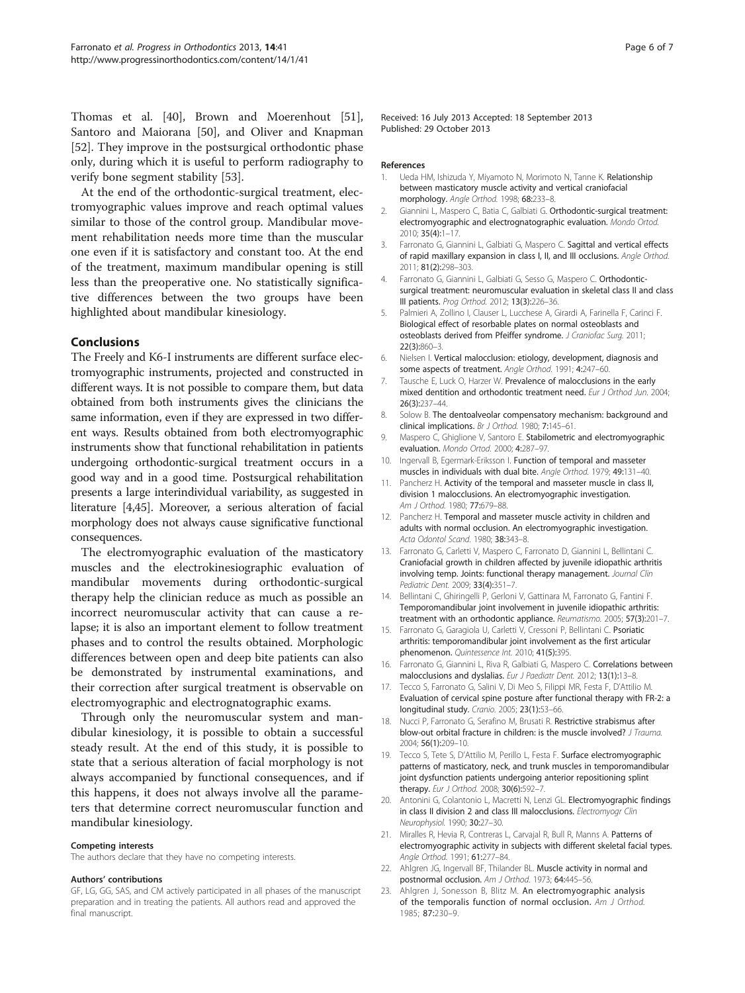<span id="page-5-0"></span>Thomas et al. [\[40\]](#page-6-0), Brown and Moerenhout [\[51](#page-6-0)], Santoro and Maiorana [[50](#page-6-0)], and Oliver and Knapman [[52\]](#page-6-0). They improve in the postsurgical orthodontic phase only, during which it is useful to perform radiography to verify bone segment stability [[53\]](#page-6-0).

At the end of the orthodontic-surgical treatment, electromyographic values improve and reach optimal values similar to those of the control group. Mandibular movement rehabilitation needs more time than the muscular one even if it is satisfactory and constant too. At the end of the treatment, maximum mandibular opening is still less than the preoperative one. No statistically significative differences between the two groups have been highlighted about mandibular kinesiology.

## Conclusions

The Freely and K6-I instruments are different surface electromyographic instruments, projected and constructed in different ways. It is not possible to compare them, but data obtained from both instruments gives the clinicians the same information, even if they are expressed in two different ways. Results obtained from both electromyographic instruments show that functional rehabilitation in patients undergoing orthodontic-surgical treatment occurs in a good way and in a good time. Postsurgical rehabilitation presents a large interindividual variability, as suggested in literature [4,[45](#page-6-0)]. Moreover, a serious alteration of facial morphology does not always cause significative functional consequences.

The electromyographic evaluation of the masticatory muscles and the electrokinesiographic evaluation of mandibular movements during orthodontic-surgical therapy help the clinician reduce as much as possible an incorrect neuromuscular activity that can cause a relapse; it is also an important element to follow treatment phases and to control the results obtained. Morphologic differences between open and deep bite patients can also be demonstrated by instrumental examinations, and their correction after surgical treatment is observable on electromyographic and electrognatographic exams.

Through only the neuromuscular system and mandibular kinesiology, it is possible to obtain a successful steady result. At the end of this study, it is possible to state that a serious alteration of facial morphology is not always accompanied by functional consequences, and if this happens, it does not always involve all the parameters that determine correct neuromuscular function and mandibular kinesiology.

#### Competing interests

The authors declare that they have no competing interests.

#### Authors' contributions

GF, LG, GG, SAS, and CM actively participated in all phases of the manuscript preparation and in treating the patients. All authors read and approved the final manuscript.

Received: 16 July 2013 Accepted: 18 September 2013 Published: 29 October 2013

#### References

- 1. Ueda HM, Ishizuda Y, Miyamoto N, Morimoto N, Tanne K. Relationship between masticatory muscle activity and vertical craniofacial morphology. Angle Orthod. 1998; 68:233–8.
- 2. Giannini L, Maspero C, Batia C, Galbiati G. Orthodontic-surgical treatment: electromyographic and electrognatographic evaluation. Mondo Ortod. 2010; 35(4):1–17.
- 3. Farronato G, Giannini L, Galbiati G, Maspero C. Sagittal and vertical effects of rapid maxillary expansion in class I, II, and III occlusions. Angle Orthod. 2011; 81(2):298–303.
- 4. Farronato G, Giannini L, Galbiati G, Sesso G, Maspero C. Orthodonticsurgical treatment: neuromuscular evaluation in skeletal class II and class III patients. Prog Orthod. 2012; 13(3):226–36.
- 5. Palmieri A, Zollino I, Clauser L, Lucchese A, Girardi A, Farinella F, Carinci F. Biological effect of resorbable plates on normal osteoblasts and osteoblasts derived from Pfeiffer syndrome. J Craniofac Surg. 2011; 22(3):860–3.
- 6. Nielsen I. Vertical malocclusion: etiology, development, diagnosis and some aspects of treatment. Angle Orthod. 1991; 4:247–60.
- 7. Tausche E, Luck O, Harzer W. Prevalence of malocclusions in the early mixed dentition and orthodontic treatment need. Eur J Orthod Jun. 2004; 26(3):237–44.
- 8. Solow B. The dentoalveolar compensatory mechanism: background and clinical implications. Br J Orthod. 1980; 7:145–61.
- 9. Maspero C, Ghiglione V, Santoro E, Stabilometric and electromyographic evaluation. Mondo Ortod. 2000; 4:287–97.
- 10. Ingervall B, Egermark-Eriksson I. Function of temporal and masseter muscles in individuals with dual bite. Angle Orthod. 1979; 49:131–40.
- 11. Pancherz H. Activity of the temporal and masseter muscle in class II, division 1 malocclusions. An electromyographic investigation. Am J Orthod. 1980; 77:679–88.
- 12. Pancherz H. Temporal and masseter muscle activity in children and adults with normal occlusion. An electromyographic investigation. Acta Odontol Scand. 1980; 38:343–8.
- 13. Farronato G, Carletti V, Maspero C, Farronato D, Giannini L, Bellintani C. Craniofacial growth in children affected by juvenile idiopathic arthritis involving temp. Joints: functional therapy management. Journal Clin Pediatric Dent. 2009; 33(4):351–7.
- 14. Bellintani C, Ghiringelli P, Gerloni V, Gattinara M, Farronato G, Fantini F. Temporomandibular joint involvement in juvenile idiopathic arthritis: treatment with an orthodontic appliance. Reumatismo. 2005; 57(3):201–7.
- 15. Farronato G, Garagiola U, Carletti V, Cressoni P, Bellintani C. Psoriatic arthritis: temporomandibular joint involvement as the first articular phenomenon. Quintessence Int. 2010; 41(5):395.
- 16. Farronato G, Giannini L, Riva R, Galbiati G, Maspero C. Correlations between malocclusions and dyslalias. Eur J Paediatr Dent. 2012; 13(1):13-8.
- 17. Tecco S, Farronato G, Salini V, Di Meo S, Filippi MR, Festa F, D'Attilio M. Evaluation of cervical spine posture after functional therapy with FR-2: a longitudinal study. Cranio. 2005; 23(1):53–66.
- 18. Nucci P, Farronato G, Serafino M, Brusati R. Restrictive strabismus after blow-out orbital fracture in children: is the muscle involved? J Trauma. 2004; 56(1):209–10.
- 19. Tecco S, Tete S, D'Attilio M, Perillo L, Festa F. Surface electromyographic patterns of masticatory, neck, and trunk muscles in temporomandibular joint dysfunction patients undergoing anterior repositioning splint therapy. Eur J Orthod. 2008; 30(6):592-7.
- 20. Antonini G, Colantonio L, Macretti N, Lenzi GL. Electromyographic findings in class II division 2 and class III malocclusions. Electromyogr Clin Neurophysiol. 1990; 30:27–30.
- 21. Miralles R, Hevia R, Contreras L, Carvajal R, Bull R, Manns A. Patterns of electromyographic activity in subjects with different skeletal facial types. Angle Orthod. 1991; 61:277–84.
- 22. Ahlgren JG, Ingervall BF, Thilander BL. Muscle activity in normal and postnormal occlusion. Am J Orthod. 1973; 64:445-56.
- 23. Ahlgren J, Sonesson B, Blitz M. An electromyographic analysis of the temporalis function of normal occlusion. Am J Orthod. 1985; 87:230–9.